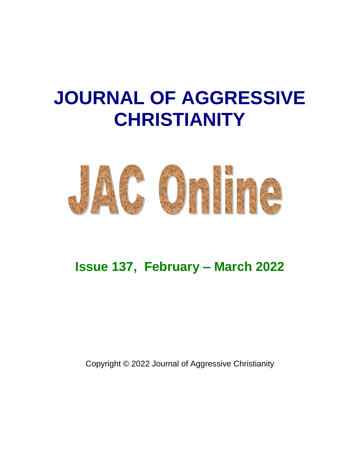# **JOURNAL OF AGGRESSIVE CHRISTIANITY**



# **Issue 137, February – March 2022**

Copyright © 2022 Journal of Aggressive Christianity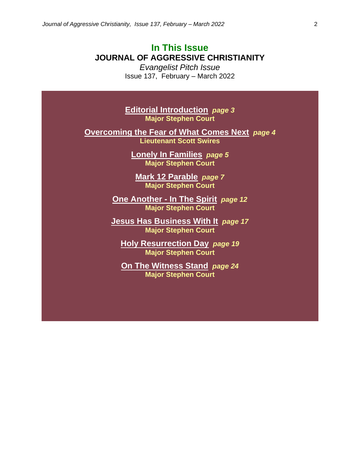## **In This Issue JOURNAL OF AGGRESSIVE CHRISTIANITY**

*Evangelist Pitch Issue* Issue 137, February – March 2022

**Editorial Introduction** *page 3* **Major Stephen Court**

**Overcoming the Fear of What Comes Next** *page 4* **Lieutenant Scott Swires**

> **Lonely In Families** *page 5* **Major Stephen Court**

**Mark 12 Parable** *page 7* **Major Stephen Court**

**One Another - In The Spirit** *page 12* **Major Stephen Court**

**Jesus Has Business With It** *page 17* **Major Stephen Court**

**Holy Resurrection Day** *page 19* **Major Stephen Court**

**On The Witness Stand** *page 24* **Major Stephen Court**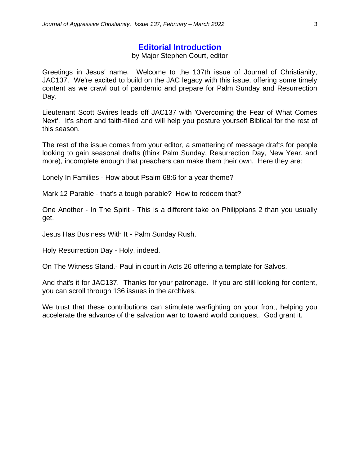#### **Editorial Introduction**

#### by Major Stephen Court, editor

Greetings in Jesus' name. Welcome to the 137th issue of Journal of Christianity, JAC137. We're excited to build on the JAC legacy with this issue, offering some timely content as we crawl out of pandemic and prepare for Palm Sunday and Resurrection Day.

Lieutenant Scott Swires leads off JAC137 with 'Overcoming the Fear of What Comes Next'. It's short and faith-filled and will help you posture yourself Biblical for the rest of this season.

The rest of the issue comes from your editor, a smattering of message drafts for people looking to gain seasonal drafts (think Palm Sunday, Resurrection Day, New Year, and more), incomplete enough that preachers can make them their own. Here they are:

Lonely In Families - How about Psalm 68:6 for a year theme?

Mark 12 Parable - that's a tough parable? How to redeem that?

One Another - In The Spirit - This is a different take on Philippians 2 than you usually get.

Jesus Has Business With It - Palm Sunday Rush.

Holy Resurrection Day - Holy, indeed.

On The Witness Stand.- Paul in court in Acts 26 offering a template for Salvos.

And that's it for JAC137. Thanks for your patronage. If you are still looking for content, you can scroll through 136 issues in the archives.

We trust that these contributions can stimulate warfighting on your front, helping you accelerate the advance of the salvation war to toward world conquest. God grant it.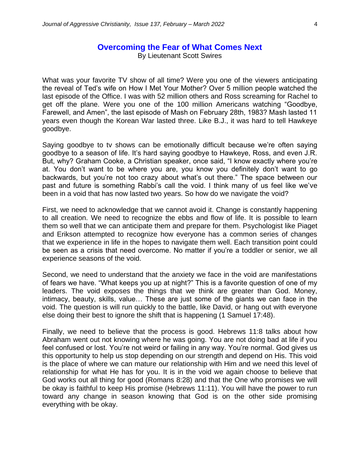#### **Overcoming the Fear of What Comes Next**

By Lieutenant Scott Swires

What was your favorite TV show of all time? Were you one of the viewers anticipating the reveal of Ted's wife on How I Met Your Mother? Over 5 million people watched the last episode of the Office. I was with 52 million others and Ross screaming for Rachel to get off the plane. Were you one of the 100 million Americans watching "Goodbye, Farewell, and Amen", the last episode of Mash on February 28th, 1983? Mash lasted 11 years even though the Korean War lasted three. Like B.J., it was hard to tell Hawkeye goodbye.

Saying goodbye to tv shows can be emotionally difficult because we're often saying goodbye to a season of life. It's hard saying goodbye to Hawkeye, Ross, and even J.R. But, why? Graham Cooke, a Christian speaker, once said, "I know exactly where you're at. You don't want to be where you are, you know you definitely don't want to go backwards, but you're not too crazy about what's out there." The space between our past and future is something Rabbi's call the void. I think many of us feel like we've been in a void that has now lasted two years. So how do we navigate the void?

First, we need to acknowledge that we cannot avoid it. Change is constantly happening to all creation. We need to recognize the ebbs and flow of life. It is possible to learn them so well that we can anticipate them and prepare for them. Psychologist like Piaget and Erikson attempted to recognize how everyone has a common series of changes that we experience in life in the hopes to navigate them well. Each transition point could be seen as a crisis that need overcome. No matter if you're a toddler or senior, we all experience seasons of the void.

Second, we need to understand that the anxiety we face in the void are manifestations of fears we have. "What keeps you up at night?" This is a favorite question of one of my leaders. The void exposes the things that we think are greater than God. Money, intimacy, beauty, skills, value… These are just some of the giants we can face in the void. The question is will run quickly to the battle, like David, or hang out with everyone else doing their best to ignore the shift that is happening (1 Samuel 17:48).

Finally, we need to believe that the process is good. Hebrews 11:8 talks about how Abraham went out not knowing where he was going. You are not doing bad at life if you feel confused or lost. You're not weird or failing in any way. You're normal. God gives us this opportunity to help us stop depending on our strength and depend on His. This void is the place of where we can mature our relationship with Him and we need this level of relationship for what He has for you. It is in the void we again choose to believe that God works out all thing for good (Romans 8:28) and that the One who promises we will be okay is faithful to keep His promise (Hebrews 11:11). You will have the power to run toward any change in season knowing that God is on the other side promising everything with be okay.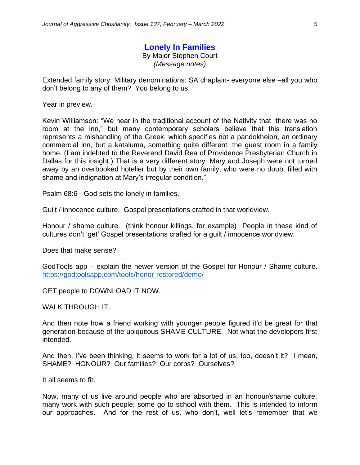# **Lonely In Families**

By Major Stephen Court

*(Message notes)*

Extended family story: Military denominations: SA chaplain- everyone else –all you who don't belong to any of them? You belong to us.

Year in preview.

Kevin Williamson: "We hear in the traditional account of the Nativity that "there was no room at the inn," but many contemporary scholars believe that this translation represents a mishandling of the Greek, which specifies not a pandokheion, an ordinary commercial inn, but a kataluma, something quite different: the guest room in a family home. (I am indebted to the Reverend David Rea of Providence Presbyterian Church in Dallas for this insight.) That is a very different story: Mary and Joseph were not turned away by an overbooked hotelier but by their own family, who were no doubt filled with shame and indignation at Mary's irregular condition."

Psalm 68:6 - God sets the lonely in families.

Guilt / innocence culture. Gospel presentations crafted in that worldview.

Honour / shame culture. (think honour killings, for example) People in these kind of cultures don't 'get' Gospel presentations crafted for a guilt / innocence worldview.

Does that make sense?

GodTools app – explain the newer version of the Gospel for Honour / Shame culture. <https://godtoolsapp.com/tools/honor-restored/demo/>

GET people to DOWNLOAD IT NOW.

WALK THROUGH IT.

And then note how a friend working with younger people figured it'd be great for that generation because of the ubiquitous SHAME CULTURE. Not what the developers first intended.

And then, I've been thinking, it seems to work for a lot of us, too, doesn't it? I mean, SHAME? HONOUR? Our families? Our corps? Ourselves?

It all seems to fit.

Now, many of us live around people who are absorbed in an honour/shame culture; many work with such people; some go to school with them. This is intended to inform our approaches. And for the rest of us, who don't, well let's remember that we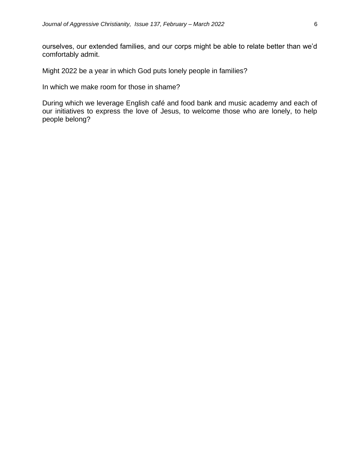ourselves, our extended families, and our corps might be able to relate better than we'd comfortably admit.

Might 2022 be a year in which God puts lonely people in families?

In which we make room for those in shame?

During which we leverage English café and food bank and music academy and each of our initiatives to express the love of Jesus, to welcome those who are lonely, to help people belong?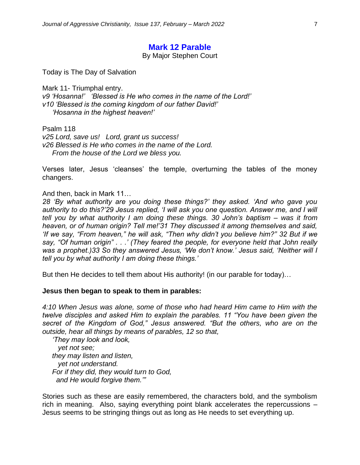#### **Mark 12 Parable**

By Major Stephen Court

Today is The Day of Salvation

Mark 11- Triumphal entry. *v9 'Hosanna!' 'Blessed is He who comes in the name of the Lord!' v10 'Blessed is the coming kingdom of our father David!' 'Hosanna in the highest heaven!'*

Psalm 118

*v25 Lord, save us! Lord, grant us success! v26 Blessed is He who comes in the name of the Lord. From the house of the Lord we bless you.*

Verses later, Jesus 'cleanses' the temple, overturning the tables of the money changers.

And then, back in Mark 11…

*28 'By what authority are you doing these things?' they asked. 'And who gave you authority to do this?'29 Jesus replied, 'I will ask you one question. Answer me, and I will tell you by what authority I am doing these things. 30 John's baptism – was it from heaven, or of human origin? Tell me!'31 They discussed it among themselves and said, 'If we say, "From heaven," he will ask, "Then why didn't you believe him?" 32 But if we say, "Of human origin" . . .' (They feared the people, for everyone held that John really was a prophet.)33 So they answered Jesus, 'We don't know.' Jesus said, 'Neither will I tell you by what authority I am doing these things.'*

But then He decides to tell them about His authority! (in our parable for today)…

#### **Jesus then began to speak to them in parables:**

*4:10 When Jesus was alone, some of those who had heard Him came to Him with the twelve disciples and asked Him to explain the parables. 11 "You have been given the secret of the Kingdom of God," Jesus answered. "But the others, who are on the outside, hear all things by means of parables, 12 so that,*

 *'They may look and look, yet not see; they may listen and listen, yet not understand. For if they did, they would turn to God, and He would forgive them.'"* 

Stories such as these are easily remembered, the characters bold, and the symbolism rich in meaning. Also, saying everything point blank accelerates the repercussions – Jesus seems to be stringing things out as long as He needs to set everything up.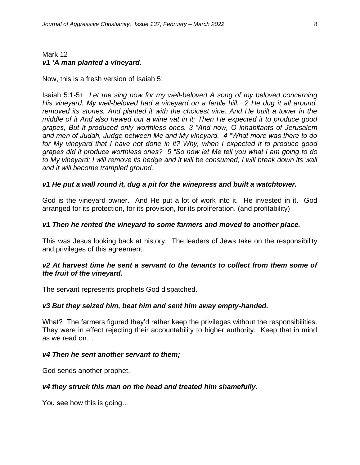#### Mark 12 *v1 'A man planted a vineyard.*

Now, this is a fresh version of Isaiah 5:

Isaiah 5:1-5+ *Let me sing now for my well-beloved A song of my beloved concerning His vineyard. My well-beloved had a vineyard on a fertile hill. 2 He dug it all around, removed its stones, And planted it with the choicest vine. And He built a tower in the middle of it And also hewed out a wine vat in it; Then He expected it to produce good grapes, But it produced only worthless ones. 3 "And now, O inhabitants of Jerusalem and men of Judah, Judge between Me and My vineyard. 4 "What more was there to do for My vineyard that I have not done in it? Why, when I expected it to produce good grapes did it produce worthless ones? 5 "So now let Me tell you what I am going to do*  to My vineyard: I will remove its hedge and it will be consumed; I will break down its wall *and it will become trampled ground.* 

#### *v1 He put a wall round it, dug a pit for the winepress and built a watchtower.*

God is the vineyard owner. And He put a lot of work into it. He invested in it. God arranged for its protection, for its provision, for its proliferation. (and profitability)

#### *v1 Then he rented the vineyard to some farmers and moved to another place.*

This was Jesus looking back at history. The leaders of Jews take on the responsibility and privileges of this agreement.

#### *v2 At harvest time he sent a servant to the tenants to collect from them some of the fruit of the vineyard.*

The servant represents prophets God dispatched.

#### *v3 But they seized him, beat him and sent him away empty-handed.*

What? The farmers figured they'd rather keep the privileges without the responsibilities. They were in effect rejecting their accountability to higher authority. Keep that in mind as we read on…

#### *v4 Then he sent another servant to them;*

God sends another prophet.

#### *v4 they struck this man on the head and treated him shamefully.*

You see how this is going…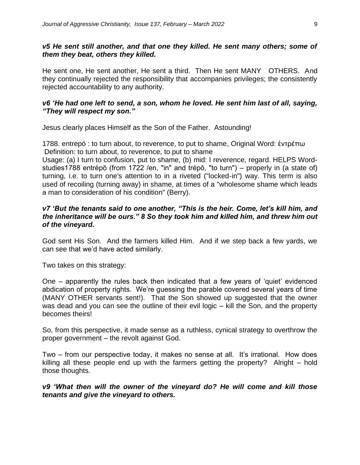#### *v5 He sent still another, and that one they killed. He sent many others; some of them they beat, others they killed.*

He sent one, He sent another, He sent a third. Then He sent MANY OTHERS. And they continually rejected the responsibility that accompanies privileges; the consistently rejected accountability to any authority.

#### *v6 'He had one left to send, a son, whom he loved. He sent him last of all, saying, "They will respect my son."*

Jesus clearly places Himself as the Son of the Father. Astounding!

1788. entrepó : to turn about, to reverence, to put to shame, Original Word: ἐντρέπω Definition: to turn about, to reverence, to put to shame

Usage: (a) I turn to confusion, put to shame, (b) mid: I reverence, regard. HELPS Wordstudies1788 entrépō (from 1722 /en, "in" and trépō, "to turn") – properly in (a state of) turning, i.e. to turn one's attention to in a riveted ("locked-in") way. This term is also used of recoiling (turning away) in shame, at times of a "wholesome shame which leads a man to consideration of his condition" (Berry).

#### *v7 'But the tenants said to one another, "This is the heir. Come, let's kill him, and the inheritance will be ours." 8 So they took him and killed him, and threw him out of the vineyard.*

God sent His Son. And the farmers killed Him. And if we step back a few yards, we can see that we'd have acted similarly.

Two takes on this strategy:

One – apparently the rules back then indicated that a few years of 'quiet' evidenced abdication of property rights. We're guessing the parable covered several years of time (MANY OTHER servants sent!). That the Son showed up suggested that the owner was dead and you can see the outline of their evil logic – kill the Son, and the property becomes theirs!

So, from this perspective, it made sense as a ruthless, cynical strategy to overthrow the proper government – the revolt against God.

Two – from our perspective today, it makes no sense at all. It's irrational. How does killing all these people end up with the farmers getting the property? Alright – hold those thoughts.

#### *v9 'What then will the owner of the vineyard do? He will come and kill those tenants and give the vineyard to others.*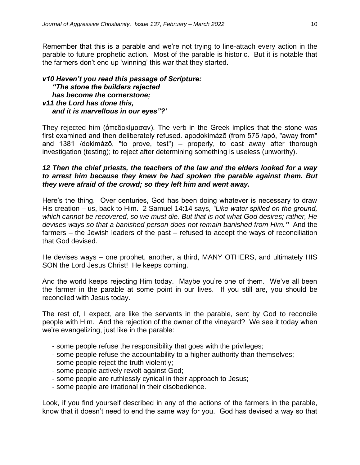Remember that this is a parable and we're not trying to line-attach every action in the parable to future prophetic action. Most of the parable is historic. But it is notable that the farmers don't end up 'winning' this war that they started.

#### *v10 Haven't you read this passage of Scripture: "The stone the builders rejected has become the cornerstone; v11 the Lord has done this, and it is marvellous in our eyes"?'*

They rejected him (ἀπεδοκίμασαν). The verb in the Greek implies that the stone was first examined and then deliberately refused. apodokimázō (from 575 /apó, "away from" and 1381 /dokimázō, "to prove, test") – properly, to cast away after thorough investigation (testing); to reject after determining something is useless (unworthy).

#### *12 Then the chief priests, the teachers of the law and the elders looked for a way to arrest him because they knew he had spoken the parable against them. But they were afraid of the crowd; so they left him and went away.*

Here's the thing. Over centuries, God has been doing whatever is necessary to draw His creation – us, back to Him. 2 Samuel 14:14 says, *"Like water spilled on the ground, which cannot be recovered, so we must die. But that is not what God desires; rather, He devises ways so that a banished person does not remain banished from Him."* And the farmers – the Jewish leaders of the past – refused to accept the ways of reconciliation that God devised.

He devises ways – one prophet, another, a third, MANY OTHERS, and ultimately HIS SON the Lord Jesus Christ! He keeps coming.

And the world keeps rejecting Him today. Maybe you're one of them. We've all been the farmer in the parable at some point in our lives. If you still are, you should be reconciled with Jesus today.

The rest of, I expect, are like the servants in the parable, sent by God to reconcile people with Him. And the rejection of the owner of the vineyard? We see it today when we're evangelizing, just like in the parable:

- some people refuse the responsibility that goes with the privileges;
- some people refuse the accountability to a higher authority than themselves;
- some people reject the truth violently;
- some people actively revolt against God;
- some people are ruthlessly cynical in their approach to Jesus;
- some people are irrational in their disobedience.

Look, if you find yourself described in any of the actions of the farmers in the parable, know that it doesn't need to end the same way for you. God has devised a way so that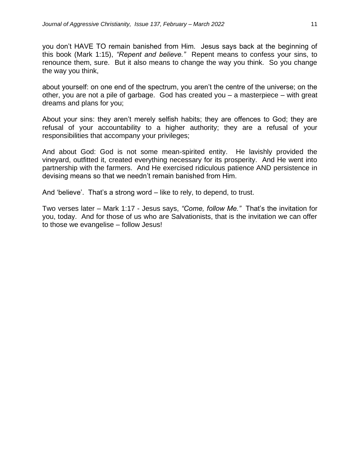you don't HAVE TO remain banished from Him. Jesus says back at the beginning of this book (Mark 1:15), *"Repent and believe."* Repent means to confess your sins, to renounce them, sure. But it also means to change the way you think. So you change the way you think,

about yourself: on one end of the spectrum, you aren't the centre of the universe; on the other, you are not a pile of garbage. God has created you – a masterpiece – with great dreams and plans for you;

About your sins: they aren't merely selfish habits; they are offences to God; they are refusal of your accountability to a higher authority; they are a refusal of your responsibilities that accompany your privileges;

And about God: God is not some mean-spirited entity. He lavishly provided the vineyard, outfitted it, created everything necessary for its prosperity. And He went into partnership with the farmers. And He exercised ridiculous patience AND persistence in devising means so that we needn't remain banished from Him.

And 'believe'. That's a strong word – like to rely, to depend, to trust.

Two verses later – Mark 1:17 - Jesus says, *"Come, follow Me."* That's the invitation for you, today. And for those of us who are Salvationists, that is the invitation we can offer to those we evangelise – follow Jesus!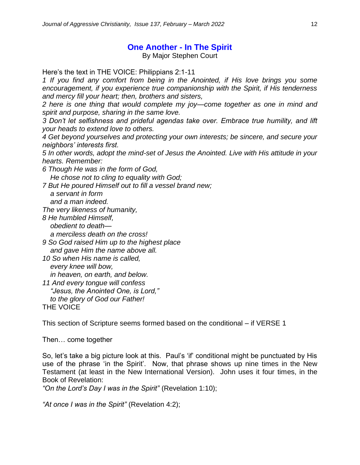## **One Another - In The Spirit**

By Major Stephen Court

Here's the text in THE VOICE: Philippians 2:1-11

*1 If you find any comfort from being in the Anointed, if His love brings you some encouragement, if you experience true companionship with the Spirit, if His tenderness and mercy fill your heart; then, brothers and sisters,* 

*2 here is one thing that would complete my joy—come together as one in mind and spirit and purpose, sharing in the same love.* 

*3 Don't let selfishness and prideful agendas take over. Embrace true humility, and lift your heads to extend love to others.* 

*4 Get beyond yourselves and protecting your own interests; be sincere, and secure your neighbors' interests first.*

*5 In other words, adopt the mind-set of Jesus the Anointed. Live with His attitude in your hearts. Remember:*

*6 Though He was in the form of God,*

 *He chose not to cling to equality with God;*

*7 But He poured Himself out to fill a vessel brand new;*

 *a servant in form*

 *and a man indeed.*

*The very likeness of humanity,*

*8 He humbled Himself, obedient to death—*

 *a merciless death on the cross!*

*9 So God raised Him up to the highest place and gave Him the name above all.*

*10 So when His name is called, every knee will bow, in heaven, on earth, and below.*

*11 And every tongue will confess*

 *"Jesus, the Anointed One, is Lord,"*

 *to the glory of God our Father!* THE VOICE

This section of Scripture seems formed based on the conditional – if VERSE 1

Then… come together

So, let's take a big picture look at this. Paul's 'if' conditional might be punctuated by His use of the phrase 'in the Spirit'. Now, that phrase shows up nine times in the New Testament (at least in the New International Version). John uses it four times, in the Book of Revelation:

*"On the Lord's Day I was in the Spirit"* (Revelation 1:10);

*"At once I was in the Spirit"* (Revelation 4:2);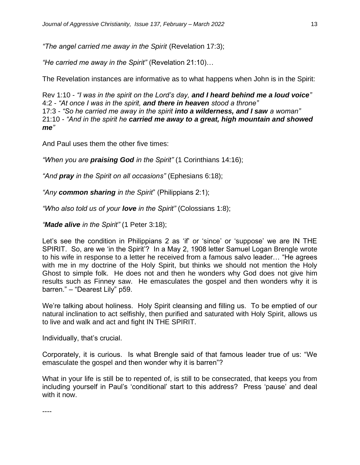*"The angel carried me away in the Spirit* (Revelation 17:3);

*"He carried me away in the Spirit"* (Revelation 21:10)…

The Revelation instances are informative as to what happens when John is in the Spirit:

Rev 1:10 - *"I was in the spirit on the Lord's day, and I heard behind me a loud voice"* 4:2 - *"At once I was in the spirit, and there in heaven stood a throne"* 17:3 *- "So he carried me away in the spirit into a wilderness, and I saw a woman"* 21:10 *- "And in the spirit he carried me away to a great, high mountain and showed me"*

And Paul uses them the other five times:

*"When you are praising God in the Spirit"* (1 Corinthians 14:16);

*"And pray in the Spirit on all occasions"* (Ephesians 6:18);

*"Any common sharing in the Spirit*" (Philippians 2:1);

*"Who also told us of your love in the Spirit"* (Colossians 1:8);

*"Made alive in the Spirit"* (1 Peter 3:18);

Let's see the condition in Philippians 2 as 'if' or 'since' or 'suppose' we are IN THE SPIRIT. So, are we 'in the Spirit'? In a May 2, 1908 letter Samuel Logan Brengle wrote to his wife in response to a letter he received from a famous salvo leader… "He agrees with me in my doctrine of the Holy Spirit, but thinks we should not mention the Holy Ghost to simple folk. He does not and then he wonders why God does not give him results such as Finney saw. He emasculates the gospel and then wonders why it is barren." – "Dearest Lily" p59.

We're talking about holiness. Holy Spirit cleansing and filling us. To be emptied of our natural inclination to act selfishly, then purified and saturated with Holy Spirit, allows us to live and walk and act and fight IN THE SPIRIT.

Individually, that's crucial.

Corporately, it is curious. Is what Brengle said of that famous leader true of us: "We emasculate the gospel and then wonder why it is barren"?

What in your life is still be to repented of, is still to be consecrated, that keeps you from including yourself in Paul's 'conditional' start to this address? Press 'pause' and deal with it now.

----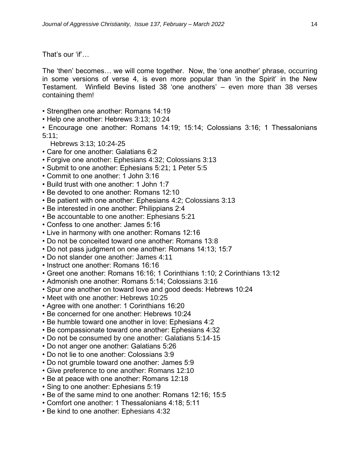That's our 'if'…

The 'then' becomes… we will come together. Now, the 'one another' phrase, occurring in some versions of verse 4, is even more popular than 'in the Spirit' in the New Testament. Winfield Bevins listed 38 'one anothers' – even more than 38 verses containing them!

- Strengthen one another: Romans 14:19
- Help one another: Hebrews 3:13; 10:24

• Encourage one another: Romans 14:19; 15:14; Colossians 3:16; 1 Thessalonians 5:11;

- Hebrews 3:13; 10:24-25
- Care for one another: Galatians 6:2
- Forgive one another: Ephesians 4:32; Colossians 3:13
- Submit to one another: Ephesians 5:21; 1 Peter 5:5
- Commit to one another: 1 John 3:16
- Build trust with one another: 1 John 1:7
- Be devoted to one another: Romans 12:10
- Be patient with one another: Ephesians 4:2; Colossians 3:13
- Be interested in one another: Philippians 2:4
- Be accountable to one another: Ephesians 5:21
- Confess to one another: James 5:16
- Live in harmony with one another: Romans 12:16
- Do not be conceited toward one another: Romans 13:8
- Do not pass judgment on one another: Romans 14:13; 15:7
- Do not slander one another: James 4:11
- Instruct one another: Romans 16:16
- Greet one another: Romans 16:16; 1 Corinthians 1:10; 2 Corinthians 13:12
- Admonish one another: Romans 5:14; Colossians 3:16
- Spur one another on toward love and good deeds: Hebrews 10:24
- Meet with one another: Hebrews 10:25
- Agree with one another: 1 Corinthians 16:20
- Be concerned for one another: Hebrews 10:24
- Be humble toward one another in love: Ephesians 4:2
- Be compassionate toward one another: Ephesians 4:32
- Do not be consumed by one another: Galatians 5:14-15
- Do not anger one another: Galatians 5:26
- Do not lie to one another: Colossians 3:9
- Do not grumble toward one another: James 5:9
- Give preference to one another: Romans 12:10
- Be at peace with one another: Romans 12:18
- Sing to one another: Ephesians 5:19
- Be of the same mind to one another: Romans 12:16; 15:5
- Comfort one another: 1 Thessalonians 4:18; 5:11
- Be kind to one another: Ephesians 4:32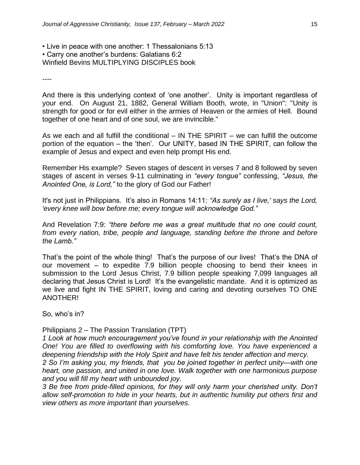• Live in peace with one another: 1 Thessalonians 5:13 • Carry one another's burdens: Galatians 6:2 Winfield Bevins MULTIPLYING DISCIPLES book

----

And there is this underlying context of 'one another'. Unity is important regardless of your end. On August 21, 1882, General William Booth, wrote, in "Union": "Unity is strength for good or for evil either in the armies of Heaven or the armies of Hell. Bound together of one heart and of one soul, we are invincible."

As we each and all fulfill the conditional – IN THE SPIRIT – we can fulfill the outcome portion of the equation – the 'then'. Our UNITY, based IN THE SPIRIT, can follow the example of Jesus and expect and even help prompt His end.

Remember His example? Seven stages of descent in verses 7 and 8 followed by seven stages of ascent in verses 9-11 culminating in *"every tongue"* confessing, *"Jesus, the Anointed One, is Lord,"* to the glory of God our Father!

It's not just in Philippians. It's also in Romans 14:11: *"As surely as I live,' says the Lord, 'every knee will bow before me; every tongue will acknowledge God."*

And Revelation 7:9: *"there before me was a great multitude that no one could count, from every nation, tribe, people and language, standing before the throne and before the Lamb."*

That's the point of the whole thing! That's the purpose of our lives! That's the DNA of our movement – to expedite 7.9 billion people choosing to bend their knees in submission to the Lord Jesus Christ, 7.9 billion people speaking 7,099 languages all declaring that Jesus Christ is Lord! It's the evangelistic mandate. And it is optimized as we live and fight IN THE SPIRIT, loving and caring and devoting ourselves TO ONE ANOTHER!

So, who's in?

Philippians 2 – The Passion Translation (TPT)

*1 Look at how much encouragement you've found in your relationship with the Anointed One! You are filled to overflowing with his comforting love. You have experienced a deepening friendship with the Holy Spirit and have felt his tender affection and mercy.*

*2 So I'm asking you, my friends, that you be joined together in perfect unity—with one heart, one passion, and united in one love. Walk together with one harmonious purpose and you will fill my heart with unbounded joy.*

*3 Be free from pride-filled opinions, for they will only harm your cherished unity. Don't allow self-promotion to hide in your hearts, but in authentic humility put others first and view others as more important than yourselves.*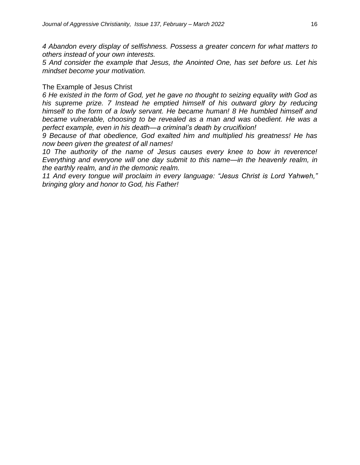*4 Abandon every display of selfishness. Possess a greater concern for what matters to others instead of your own interests.* 

*5 And consider the example that Jesus, the Anointed One, has set before us. Let his mindset become your motivation.*

#### The Example of Jesus Christ

*6 He existed in the form of God, yet he gave no thought to seizing equality with God as his supreme prize. 7 Instead he emptied himself of his outward glory by reducing himself to the form of a lowly servant. He became human! 8 He humbled himself and became vulnerable, choosing to be revealed as a man and was obedient. He was a perfect example, even in his death—a criminal's death by crucifixion!*

*9 Because of that obedience, God exalted him and multiplied his greatness! He has now been given the greatest of all names!*

*10 The authority of the name of Jesus causes every knee to bow in reverence! Everything and everyone will one day submit to this name—in the heavenly realm, in the earthly realm, and in the demonic realm.* 

*11 And every tongue will proclaim in every language: "Jesus Christ is Lord Yahweh," bringing glory and honor to God, his Father!*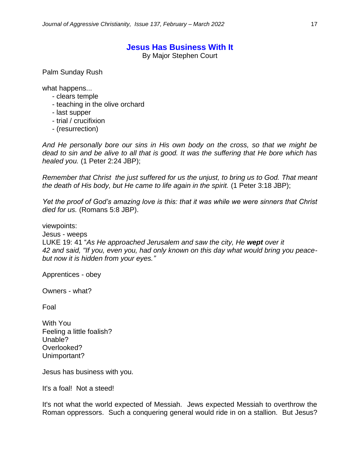#### **Jesus Has Business With It**

By Major Stephen Court

Palm Sunday Rush

what happens...

- clears temple
- teaching in the olive orchard
- last supper
- trial / crucifixion
- (resurrection)

*And He personally bore our sins in His own body on the cross, so that we might be dead to sin and be alive to all that is good. It was the suffering that He bore which has healed you.* (1 Peter 2:24 JBP);

*Remember that Christ the just suffered for us the unjust, to bring us to God. That meant the death of His body, but He came to life again in the spirit.* (1 Peter 3:18 JBP);

*Yet the proof of God's amazing love is this: that it was while we were sinners that Christ died for us.* (Romans 5:8 JBP).

viewpoints: Jesus - weeps LUKE 19: 41 "*As He approached Jerusalem and saw the city, He wept over it 42 and said, "If you, even you, had only known on this day what would bring you peacebut now it is hidden from your eyes."*

Apprentices - obey

Owners - what?

Foal

With You Feeling a little foalish? Unable? Overlooked? Unimportant?

Jesus has business with you.

It's a foal! Not a steed!

It's not what the world expected of Messiah. Jews expected Messiah to overthrow the Roman oppressors. Such a conquering general would ride in on a stallion. But Jesus?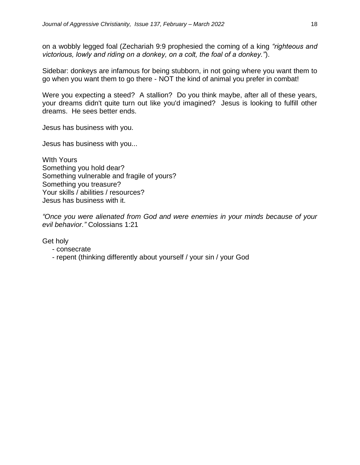on a wobbly legged foal (Zechariah 9:9 prophesied the coming of a king *"righteous and victorious, lowly and riding on a donkey, on a colt, the foal of a donkey."*).

Sidebar: donkeys are infamous for being stubborn, in not going where you want them to go when you want them to go there - NOT the kind of animal you prefer in combat!

Were you expecting a steed? A stallion? Do you think maybe, after all of these years, your dreams didn't quite turn out like you'd imagined? Jesus is looking to fulfill other dreams. He sees better ends.

Jesus has business with you.

Jesus has business with you...

WIth Yours Something you hold dear? Something vulnerable and fragile of yours? Something you treasure? Your skills / abilities / resources? Jesus has business with it.

*"Once you were alienated from God and were enemies in your minds because of your evil behavior."* Colossians 1:21

Get holy

- consecrate
- repent (thinking differently about yourself / your sin / your God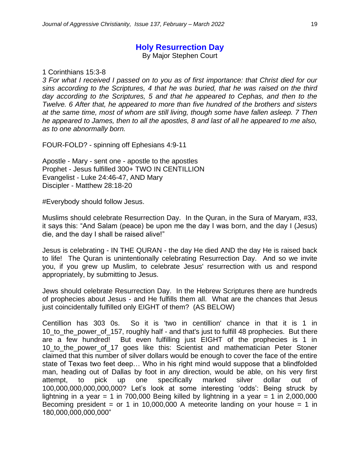#### **Holy Resurrection Day**

By Major Stephen Court

1 Corinthians 15:3-8

*3 For what I received I passed on to you as of first importance: that Christ died for our sins according to the Scriptures, 4 that he was buried, that he was raised on the third day according to the Scriptures, 5 and that he appeared to Cephas, and then to the Twelve. 6 After that, he appeared to more than five hundred of the brothers and sisters at the same time, most of whom are still living, though some have fallen asleep. 7 Then he appeared to James, then to all the apostles, 8 and last of all he appeared to me also, as to one abnormally born.*

FOUR-FOLD? - spinning off Ephesians 4:9-11

Apostle - Mary - sent one - apostle to the apostles Prophet - Jesus fulfilled 300+ TWO IN CENTILLION Evangelist - Luke 24:46-47, AND Mary Discipler - Matthew 28:18-20

#Everybody should follow Jesus.

Muslims should celebrate Resurrection Day. In the Quran, in the Sura of Maryam, #33, it says this: "And Salam (peace) be upon me the day I was born, and the day I (Jesus) die, and the day I shall be raised alive!"

Jesus is celebrating - IN THE QURAN - the day He died AND the day He is raised back to life! The Quran is unintentionally celebrating Resurrection Day. And so we invite you, if you grew up Muslim, to celebrate Jesus' resurrection with us and respond appropriately, by submitting to Jesus.

Jews should celebrate Resurrection Day. In the Hebrew Scriptures there are hundreds of prophecies about Jesus - and He fulfills them all. What are the chances that Jesus just coincidentally fulfilled only EIGHT of them? (AS BELOW)

Centillion has 303 0s. So it is 'two in centillion' chance in that it is 1 in 10\_to\_the\_power\_of\_157, roughly half - and that's just to fulfill 48 prophecies. But there are a few hundred! But even fulfilling just EIGHT of the prophecies is 1 in 10\_to\_the\_power\_of\_17 goes like this: Scientist and mathematician Peter Stoner claimed that this number of silver dollars would be enough to cover the face of the entire state of Texas two feet deep… Who in his right mind would suppose that a blindfolded man, heading out of Dallas by foot in any direction, would be able, on his very first attempt, to pick up one specifically marked silver dollar out of 100,000,000,000,000,000? Let's look at some interesting 'odds': Being struck by lightning in a year = 1 in 700,000 Being killed by lightning in a year = 1 in 2,000,000 Becoming president = or 1 in 10,000,000 A meteorite landing on your house = 1 in 180,000,000,000,000"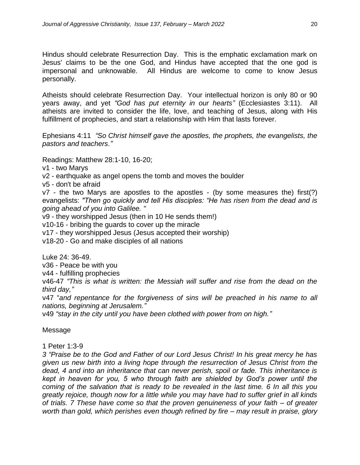Hindus should celebrate Resurrection Day. This is the emphatic exclamation mark on Jesus' claims to be the one God, and Hindus have accepted that the one god is impersonal and unknowable. All Hindus are welcome to come to know Jesus personally.

Atheists should celebrate Resurrection Day. Your intellectual horizon is only 80 or 90 years away, and yet *"God has put eternity in our hearts"* (Ecclesiastes 3:11). All atheists are invited to consider the life, love, and teaching of Jesus, along with His fulfillment of prophecies, and start a relationship with Him that lasts forever.

Ephesians 4:11 *"So Christ himself gave the apostles, the prophets, the evangelists, the pastors and teachers."*

Readings: Matthew 28:1-10, 16-20;

v1 - two Marys

v2 - earthquake as angel opens the tomb and moves the boulder

v5 - don't be afraid

v7 - the two Marys are apostles to the apostles - (by some measures the) first(?) evangelists: *"Then go quickly and tell His disciples: "He has risen from the dead and is going ahead of you into Galilee. "*

v9 - they worshipped Jesus (then in 10 He sends them!)

v10-16 - bribing the guards to cover up the miracle

v17 - they worshipped Jesus (Jesus accepted their worship)

v18-20 - Go and make disciples of all nations

Luke 24: 36-49.

v36 - Peace be with you

v44 - fulfilling prophecies

v46-47 *"This is what is written: the Messiah will suffer and rise from the dead on the third day,"*

v47 "*and repentance for the forgiveness of sins will be preached in his name to all nations, beginning at Jerusalem."*

v49 *"stay in the city until you have been clothed with power from on high."*

#### Message

1 Peter 1:3-9

*3 "Praise be to the God and Father of our Lord Jesus Christ! In his great mercy he has given us new birth into a living hope through the resurrection of Jesus Christ from the dead, 4 and into an inheritance that can never perish, spoil or fade. This inheritance is kept in heaven for you, 5 who through faith are shielded by God's power until the coming of the salvation that is ready to be revealed in the last time. 6 In all this you greatly rejoice, though now for a little while you may have had to suffer grief in all kinds of trials. 7 These have come so that the proven genuineness of your faith – of greater worth than gold, which perishes even though refined by fire – may result in praise, glory*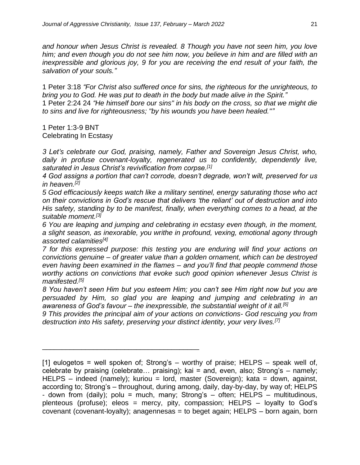*and honour when Jesus Christ is revealed. 8 Though you have not seen him, you love him; and even though you do not see him now, you believe in him and are filled with an inexpressible and glorious joy, 9 for you are receiving the end result of your faith, the salvation of your souls."*

1 Peter 3:18 *"For Christ also suffered once for sins, the righteous for the unrighteous, to bring you to God. He was put to death in the body but made alive in the Spirit."* 1 Peter 2:24 24 *"He himself bore our sins" in his body on the cross, so that we might die* 

*to sins and live for righteousness; "by his wounds you have been healed.""*

1 Peter 1:3-9 BNT Celebrating In Ecstasy

*3 Let's celebrate our God, praising, namely, Father and Sovereign Jesus Christ, who, daily in profuse covenant-loyalty, regenerated us to confidently, dependently live, saturated in Jesus Christ's revivification from corpse.[1]*

*4 God assigns a portion that can't corrode, doesn't degrade, won't wilt, preserved for us in heaven.[2]*

*5 God efficaciously keeps watch like a military sentinel, energy saturating those who act on their convictions in God's rescue that delivers 'the reliant' out of destruction and into His safety, standing by to be manifest, finally, when everything comes to a head, at the suitable moment.[3]*

*6 You are leaping and jumping and celebrating in ecstasy even though, in the moment, a slight season, as inexorable, you writhe in profound, vexing, emotional agony through assorted calamities[4]*

*7 for this expressed purpose: this testing you are enduring will find your actions on convictions genuine – of greater value than a golden ornament, which can be destroyed even having been examined in the flames – and you'll find that people commend those worthy actions on convictions that evoke such good opinion whenever Jesus Christ is manifested.[5]*

*8 You haven't seen Him but you esteem Him; you can't see Him right now but you are persuaded by Him, so glad you are leaping and jumping and celebrating in an awareness of God's favour – the inexpressible, the substantial weight of it all.[6]*

*9 This provides the principal aim of your actions on convictions- God rescuing you from destruction into His safety, preserving your distinct identity, your very lives.[7]*

\_\_\_\_\_\_\_\_\_\_\_\_\_\_\_\_\_\_\_\_\_\_\_\_\_\_\_\_\_\_\_\_\_\_\_\_\_\_\_\_

<sup>[1]</sup> eulogetos = well spoken of; Strong's – worthy of praise; HELPS – speak well of, celebrate by praising (celebrate… praising); kai = and, even, also; Strong's – namely; HELPS – indeed (namely); kuriou = lord, master (Sovereign); kata = down, against, according to; Strong's – throughout, during among, daily, day-by-day, by way of; HELPS - down from (daily); polu = much, many; Strong's – often; HELPS – multitudinous, plenteous (profuse); eleos = mercy, pity, compassion; HELPS – loyalty to God's covenant (covenant-loyalty); anagennesas = to beget again; HELPS – born again, born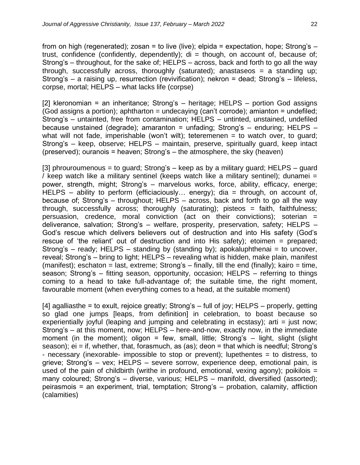from on high (regenerated); zosan = to live (live); elpida = expectation, hope; Strong's  $$ trust, confidence (confidently, dependently);  $di =$  though, on account of, because of; Strong's – throughout, for the sake of; HELPS – across, back and forth to go all the way through, successfully across, thoroughly (saturated); anastaseos = a standing up; Strong's – a raising up, resurrection (revivification); nekron = dead; Strong's – lifeless, corpse, mortal; HELPS – what lacks life (corpse)

[2] kleronomian = an inheritance; Strong's – heritage; HELPS – portion God assigns (God assigns a portion); aphtharton = undecaying (can't corrode); amianton = undefiled; Strong's – untainted, free from contamination; HELPS – untinted, unstained, undefiled because unstained (degrade); amaranton = unfading; Strong's  $-$  enduring; HELPS  $$ what will not fade, imperishable (won't wilt); teteremenen = to watch over, to guard; Strong's – keep, observe; HELPS – maintain, preserve, spiritually guard, keep intact (preserved); ouranois = heaven; Strong's – the atmosphere, the sky (heaven)

[3] phrouroumenous = to guard; Strong's – keep as by a military guard; HELPS – guard / keep watch like a military sentinel (keeps watch like a military sentinel); dunamei = power, strength, might; Strong's – marvelous works, force, ability, efficacy, energe; HELPS – ability to perform (efficiaciously… energy); dia = through, on account of, because of; Strong's – throughout; HELPS – across, back and forth to go all the way through, successfully across; thoroughly (saturating); pisteos = faith, faithfulness; persuasion, credence, moral conviction (act on their convictions); soterian  $=$ deliverance, salvation; Strong's – welfare, prosperity, preservation, safety; HELPS – God's rescue which delivers believers out of destruction and into His safety (God's rescue of 'the reliant' out of destruction and into His safety); etoimen = prepared; Strong's – ready; HELPS – standing by (standing by); apokaluphthenai = to uncover, reveal; Strong's – bring to light; HELPS – revealing what is hidden, make plain, manifest (manifest); eschaton = last, extreme; Strong's  $-$  finally, till the end (finally); kairo = time, season; Strong's – fitting season, opportunity, occasion; HELPS – referring to things coming to a head to take full-advantage of; the suitable time, the right moment, favourable moment (when everything comes to a head, at the suitable moment)

[4] agalliasthe = to exult, rejoice greatly; Strong's – full of joy; HELPS – properly, getting so glad one jumps [leaps, from definition] in celebration, to boast because so experientially joyful (leaping and jumping and celebrating in ecstasy); arti = just now; Strong's – at this moment, now; HELPS – here-and-now, exactly now, in the immediate moment (in the moment); oligon = few, small, little; Strong's  $-$  light, slight (slight season); ei = if, whether, that, forasmuch, as (as); deon = that which is needful; Strong's - necessary (inexorable- impossible to stop or prevent); lupethentes = to distress, to grieve; Strong's – vex; HELPS – severe sorrow, experience deep, emotional pain, is used of the pain of childbirth (writhe in profound, emotional, vexing agony); poikilois = many coloured; Strong's – diverse, various; HELPS – manifold, diversified (assorted); peirasmois = an experiment, trial, temptation; Strong's – probation, calamity, affliction (calamities)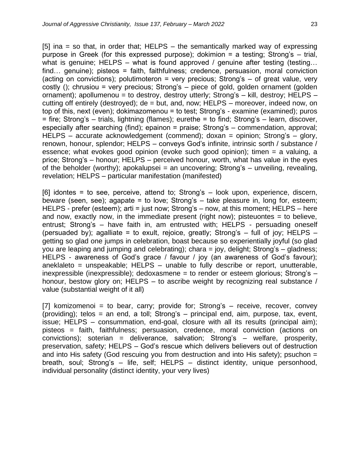[5] ina = so that, in order that;  $HELPS -$  the semantically marked way of expressing purpose in Greek (for this expressed purpose); dokimion = a testing; Strong's – trial, what is genuine; HELPS – what is found approved / genuine after testing (testing... find… genuine); pisteos = faith, faithfulness; credence, persuasion, moral conviction (acting on convictions); polutimoteron = very precious; Strong's  $-$  of great value, very costly (); chrusiou = very precious; Strong's – piece of gold, golden ornament (golden ornament); apollumenou = to destroy, destroy utterly; Strong's – kill, destroy; HELPS – cutting off entirely (destroyed); de = but, and, now; HELPS – moreover, indeed now, on top of this, next (even); dokimazomenou = to test; Strong's - examine (examined); puros = fire; Strong's – trials, lightning (flames); eurethe = to find; Strong's – learn, discover, especially after searching (find); epainon = praise; Strong's – commendation, approval; HELPS – accurate acknowledgement (commend); doxan = opinion; Strong's – glory, renown, honour, splendor; HELPS – conveys God's infinite, intrinsic sorth / substance / essence; what evokes good opinion (evoke such good opinion); timen = a valuing, a price; Strong's – honour; HELPS – perceived honour, worth, what has value in the eyes of the beholder (worthy); apokalupsei = an uncovering; Strong's  $-$  unveiling, revealing, revelation; HELPS – particular manifestation (manifested)

[6] idontes = to see, perceive, attend to; Strong's – look upon, experience, discern, beware (seen, see); agapate = to love; Strong's – take pleasure in, long for, esteem; HELPS - prefer (esteem); arti = just now; Strong's – now, at this moment; HELPS – here and now, exactly now, in the immediate present (right now); pisteuontes  $=$  to believe, entrust; Strong's – have faith in, am entrusted with; HELPS - persuading oneself (persuaded by); agalliate = to exult, rejoice, greatly; Strong's  $-$  full of joy; HELPS  $$ getting so glad one jumps in celebration, boast because so experientially joyful (so glad you are leaping and jumping and celebrating); chara = joy, delight; Strong's – gladness; HELPS - awareness of God's grace / favour / joy (an awareness of God's favour); aneklaleto = unspeakable;  $HELPS -$  unable to fully describe or report, unutterable, inexpressible (inexpressible); dedoxasmene = to render or esteem glorious; Strong's – honour, bestow glory on; HELPS – to ascribe weight by recognizing real substance / value (substantial weight of it all)

[7] komizomenoi = to bear, carry; provide for; Strong's  $-$  receive, recover, convey (providing); telos = an end, a toll; Strong's  $-$  principal end, aim, purpose, tax, event, issue; HELPS – consummation, end-goal, closure with all its results (principal aim); pisteos = faith, faithfulness; persuasion, credence, moral conviction (actions on convictions); soterian = deliverance, salvation; Strong's – welfare, prosperity, preservation, safety; HELPS – God's rescue which delivers believers out of destruction and into His safety (God rescuing you from destruction and into His safety); psuchon = breath, soul; Strong's – life, self; HELPS – distinct identity, unique personhood, individual personality (distinct identity, your very lives)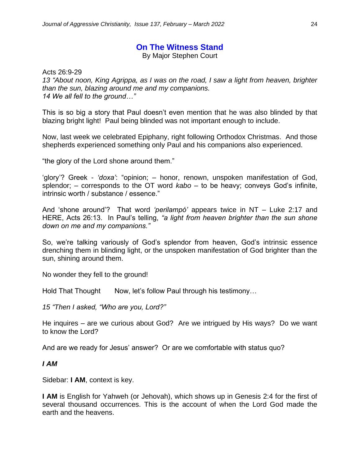#### **On The Witness Stand**

By Major Stephen Court

Acts 26:9-29 *13 "About noon, King Agrippa, as I was on the road, I saw a light from heaven, brighter than the sun, blazing around me and my companions. 14 We all fell to the ground…"*

This is so big a story that Paul doesn't even mention that he was also blinded by that blazing bright light! Paul being blinded was not important enough to include.

Now, last week we celebrated Epiphany, right following Orthodox Christmas. And those shepherds experienced something only Paul and his companions also experienced.

"the glory of the Lord shone around them."

'glory'? Greek - *'doxa'*: "opinion; – honor, renown, unspoken manifestation of God, splendor; – corresponds to the OT word *kabo* – to be heavy; conveys God's infinite, intrinsic worth / substance / essence."

And 'shone around'? That word *'perilampó'* appears twice in NT – Luke 2:17 and HERE, Acts 26:13. In Paul's telling, *"a light from heaven brighter than the sun shone down on me and my companions."*

So, we're talking variously of God's splendor from heaven, God's intrinsic essence drenching them in blinding light, or the unspoken manifestation of God brighter than the sun, shining around them.

No wonder they fell to the ground!

Hold That Thought Now, let's follow Paul through his testimony...

*15 "Then I asked, "Who are you, Lord?"*

He inquires – are we curious about God? Are we intrigued by His ways? Do we want to know the Lord?

And are we ready for Jesus' answer? Or are we comfortable with status quo?

#### *I AM*

Sidebar: **I AM**, context is key.

**I AM** is English for Yahweh (or Jehovah), which shows up in Genesis 2:4 for the first of several thousand occurrences. This is the account of when the Lord God made the earth and the heavens.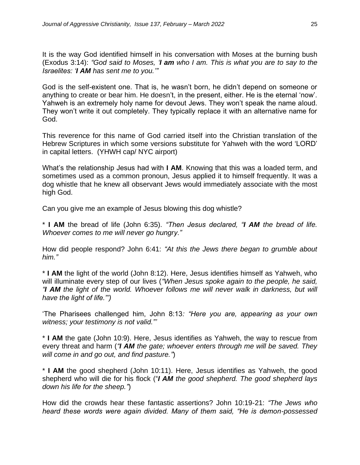It is the way God identified himself in his conversation with Moses at the burning bush (Exodus 3:14): *"God said to Moses, 'I am who I am. This is what you are to say to the Israelites: 'I AM has sent me to you.'"*

God is the self-existent one. That is, he wasn't born, he didn't depend on someone or anything to create or bear him. He doesn't, in the present, either. He is the eternal 'now'. Yahweh is an extremely holy name for devout Jews. They won't speak the name aloud. They won't write it out completely. They typically replace it with an alternative name for God.

This reverence for this name of God carried itself into the Christian translation of the Hebrew Scriptures in which some versions substitute for Yahweh with the word 'LORD' in capital letters. (YHWH cap/ NYC airport)

What's the relationship Jesus had with **I AM**. Knowing that this was a loaded term, and sometimes used as a common pronoun, Jesus applied it to himself frequently. It was a dog whistle that he knew all observant Jews would immediately associate with the most high God.

Can you give me an example of Jesus blowing this dog whistle?

\* **I AM** the bread of life (John 6:35). *"Then Jesus declared, "I AM the bread of life. Whoever comes to me will never go hungry."*

How did people respond? John 6:41: *"At this the Jews there began to grumble about him."*

\* **I AM** the light of the world (John 8:12). Here, Jesus identifies himself as Yahweh, who will illuminate every step of our lives (*"When Jesus spoke again to the people, he said, "I AM the light of the world. Whoever follows me will never walk in darkness, but will have the light of life."')* 

'The Pharisees challenged him, John 8:13*: "Here you are, appearing as your own witness; your testimony is not valid."'* 

\* **I AM** the gate (John 10:9). Here, Jesus identifies as Yahweh, the way to rescue from every threat and harm (*"I AM the gate; whoever enters through me will be saved. They will come in and go out, and find pasture."*)

\* **I AM** the good shepherd (John 10:11). Here, Jesus identifies as Yahweh, the good shepherd who will die for his flock ("*I AM the good shepherd. The good shepherd lays down his life for the sheep."*)

How did the crowds hear these fantastic assertions? John 10:19-21: *"The Jews who heard these words were again divided. Many of them said, "He is demon-possessed*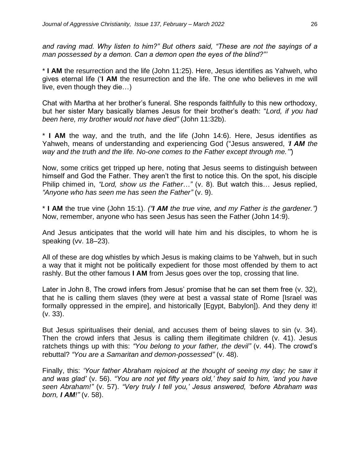*and raving mad. Why listen to him?" But others said, "These are not the sayings of a man possessed by a demon. Can a demon open the eyes of the blind?"'* 

\* **I AM** the resurrection and the life (John 11:25). Here, Jesus identifies as Yahweh, who gives eternal life ('**I AM** the resurrection and the life. The one who believes in me will live, even though they die…)

Chat with Martha at her brother's funeral. She responds faithfully to this new orthodoxy, but her sister Mary basically blames Jesus for their brother's death: "*Lord, if you had been here, my brother would not have died"* (John 11:32b).

\* **I AM** the way, and the truth, and the life (John 14:6). Here, Jesus identifies as Yahweh, means of understanding and experiencing God ("Jesus answered, *'I AM the way and the truth and the life. No-one comes to the Father except through me.'"*)

Now, some critics get tripped up here, noting that Jesus seems to distinguish between himself and God the Father. They aren't the first to notice this. On the spot, his disciple Philip chimed in, *"Lord, show us the Father…"* (v. 8). But watch this… Jesus replied, *"Anyone who has seen me has seen the Father"* (v. 9).

\* **I AM** the true vine (John 15:1). *("I AM the true vine, and my Father is the gardener.")* Now, remember, anyone who has seen Jesus has seen the Father (John 14:9).

And Jesus anticipates that the world will hate him and his disciples, to whom he is speaking (vv. 18–23).

All of these are dog whistles by which Jesus is making claims to be Yahweh, but in such a way that it might not be politically expedient for those most offended by them to act rashly. But the other famous **I AM** from Jesus goes over the top, crossing that line.

Later in John 8, The crowd infers from Jesus' promise that he can set them free (v. 32), that he is calling them slaves (they were at best a vassal state of Rome [Israel was formally oppressed in the empire], and historically [Egypt, Babylon]). And they deny it! (v. 33).

But Jesus spiritualises their denial, and accuses them of being slaves to sin (v. 34). Then the crowd infers that Jesus is calling them illegitimate children (v. 41). Jesus ratchets things up with this: *"You belong to your father, the devil"* (v. 44). The crowd's rebuttal? *"You are a Samaritan and demon-possessed"* (v. 48).

Finally, this: *'Your father Abraham rejoiced at the thought of seeing my day; he saw it and was glad'* (v. 56). *"You are not yet fifty years old,' they said to him, 'and you have seen Abraham!"* (v. 57). *"Very truly I tell you,' Jesus answered, 'before Abraham was born, I AM!"* (v. 58).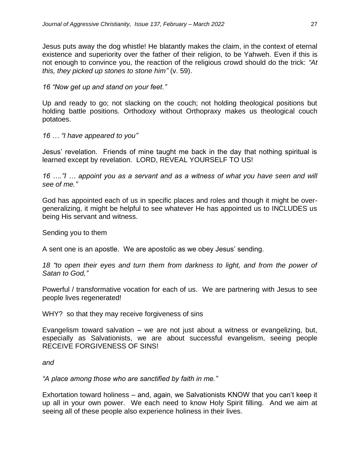Jesus puts away the dog whistle! He blatantly makes the claim, in the context of eternal existence and superiority over the father of their religion, to be Yahweh. Even if this is not enough to convince you, the reaction of the religious crowd should do the trick: *"At this, they picked up stones to stone him"* (v. 59).

*16 "Now get up and stand on your feet."* 

Up and ready to go; not slacking on the couch; not holding theological positions but holding battle positions. Orthodoxy without Orthopraxy makes us theological couch potatoes.

*16 … "I have appeared to you"* 

Jesus' revelation. Friends of mine taught me back in the day that nothing spiritual is learned except by revelation. LORD, REVEAL YOURSELF TO US!

*16 …."I … appoint you as a servant and as a witness of what you have seen and will see of me."*

God has appointed each of us in specific places and roles and though it might be overgeneralizing, it might be helpful to see whatever He has appointed us to INCLUDES us being His servant and witness.

Sending you to them

A sent one is an apostle. We are apostolic as we obey Jesus' sending.

18 "to open their eyes and turn them from darkness to light, and from the power of *Satan to God,"*

Powerful / transformative vocation for each of us. We are partnering with Jesus to see people lives regenerated!

WHY? so that they may receive forgiveness of sins

Evangelism toward salvation – we are not just about a witness or evangelizing, but, especially as Salvationists, we are about successful evangelism, seeing people RECEIVE FORGIVENESS OF SINS!

*and* 

*"A place among those who are sanctified by faith in me."*

Exhortation toward holiness – and, again, we Salvationists KNOW that you can't keep it up all in your own power. We each need to know Holy Spirit filling. And we aim at seeing all of these people also experience holiness in their lives.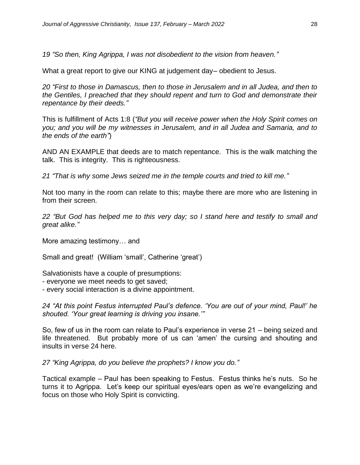*19 "So then, King Agrippa, I was not disobedient to the vision from heaven."*

What a great report to give our KING at judgement day– obedient to Jesus.

*20 "First to those in Damascus, then to those in Jerusalem and in all Judea, and then to the Gentiles, I preached that they should repent and turn to God and demonstrate their repentance by their deeds."*

This is fulfillment of Acts 1:8 (*"But you will receive power when the Holy Spirit comes on you; and you will be my witnesses in Jerusalem, and in all Judea and Samaria, and to the ends of the earth"*)

AND AN EXAMPLE that deeds are to match repentance. This is the walk matching the talk. This is integrity. This is righteousness.

*21 "That is why some Jews seized me in the temple courts and tried to kill me."*

Not too many in the room can relate to this; maybe there are more who are listening in from their screen.

*22 "But God has helped me to this very day; so I stand here and testify to small and great alike."*

More amazing testimony… and

Small and great! (William 'small', Catherine 'great')

Salvationists have a couple of presumptions:

- everyone we meet needs to get saved;
- every social interaction is a divine appointment.

*24 "At this point Festus interrupted Paul's defence. 'You are out of your mind, Paul!' he shouted. 'Your great learning is driving you insane.'"*

So, few of us in the room can relate to Paul's experience in verse 21 – being seized and life threatened. But probably more of us can 'amen' the cursing and shouting and insults in verse 24 here.

*27 "King Agrippa, do you believe the prophets? I know you do."*

Tactical example – Paul has been speaking to Festus. Festus thinks he's nuts. So he turns it to Agrippa. Let's keep our spiritual eyes/ears open as we're evangelizing and focus on those who Holy Spirit is convicting.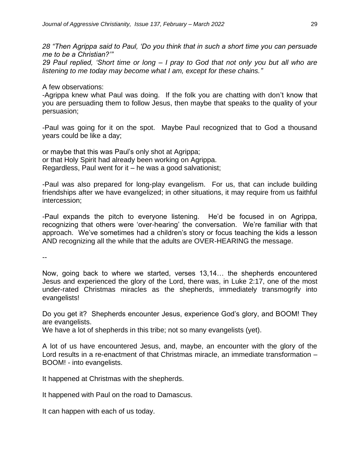*28 "Then Agrippa said to Paul, 'Do you think that in such a short time you can persuade me to be a Christian?'"* 

*29 Paul replied, 'Short time or long – I pray to God that not only you but all who are listening to me today may become what I am, except for these chains."*

A few observations:

-Agrippa knew what Paul was doing. If the folk you are chatting with don't know that you are persuading them to follow Jesus, then maybe that speaks to the quality of your persuasion;

-Paul was going for it on the spot. Maybe Paul recognized that to God a thousand years could be like a day;

or maybe that this was Paul's only shot at Agrippa; or that Holy Spirit had already been working on Agrippa. Regardless, Paul went for it – he was a good salvationist;

-Paul was also prepared for long-play evangelism. For us, that can include building friendships after we have evangelized; in other situations, it may require from us faithful intercession;

-Paul expands the pitch to everyone listening. He'd be focused in on Agrippa, recognizing that others were 'over-hearing' the conversation. We're familiar with that approach. We've sometimes had a children's story or focus teaching the kids a lesson AND recognizing all the while that the adults are OVER-HEARING the message.

--

Now, going back to where we started, verses 13,14… the shepherds encountered Jesus and experienced the glory of the Lord, there was, in Luke 2:17, one of the most under-rated Christmas miracles as the shepherds, immediately transmogrify into evangelists!

Do you get it? Shepherds encounter Jesus, experience God's glory, and BOOM! They are evangelists.

We have a lot of shepherds in this tribe; not so many evangelists (yet).

A lot of us have encountered Jesus, and, maybe, an encounter with the glory of the Lord results in a re-enactment of that Christmas miracle, an immediate transformation – BOOM! - into evangelists.

It happened at Christmas with the shepherds.

It happened with Paul on the road to Damascus.

It can happen with each of us today.